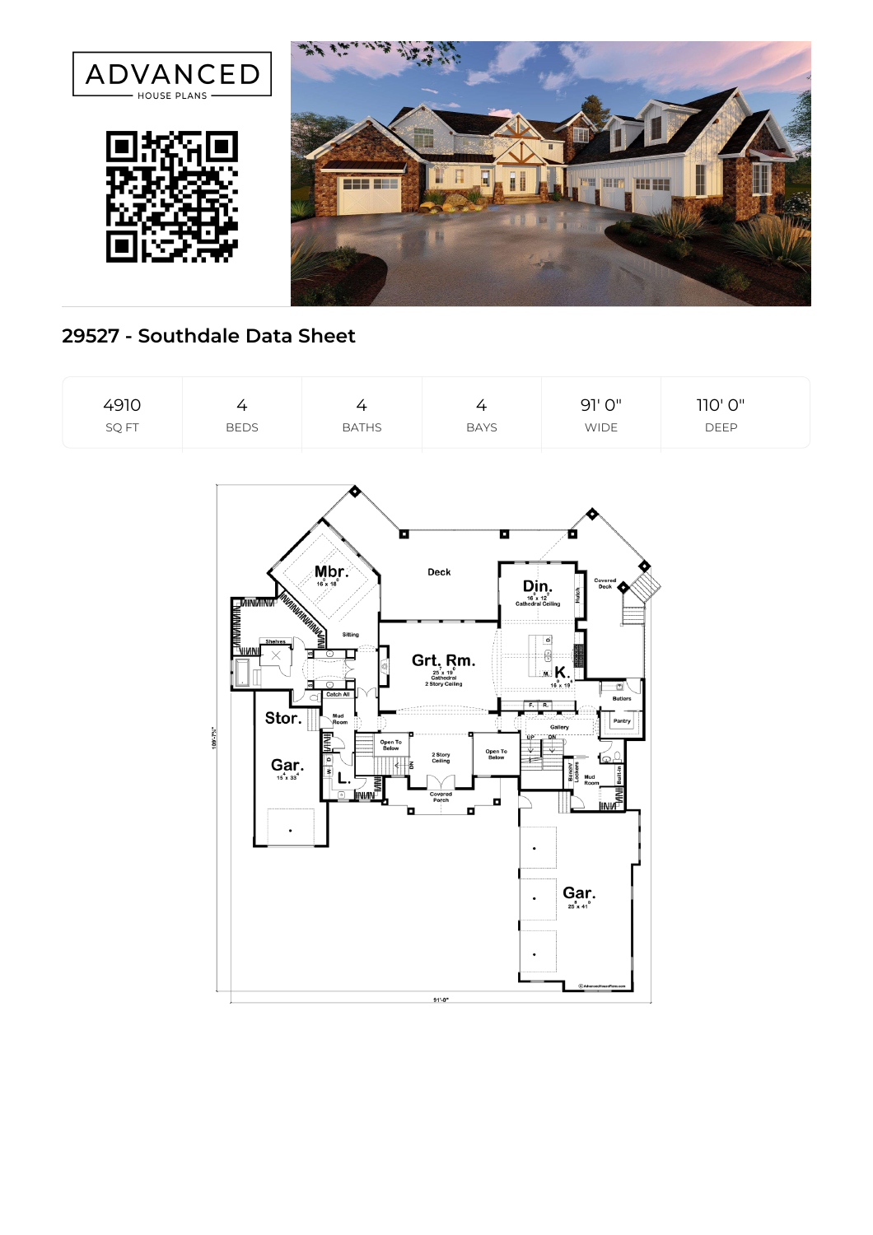

## **29527 - Southdale Data Sheet**

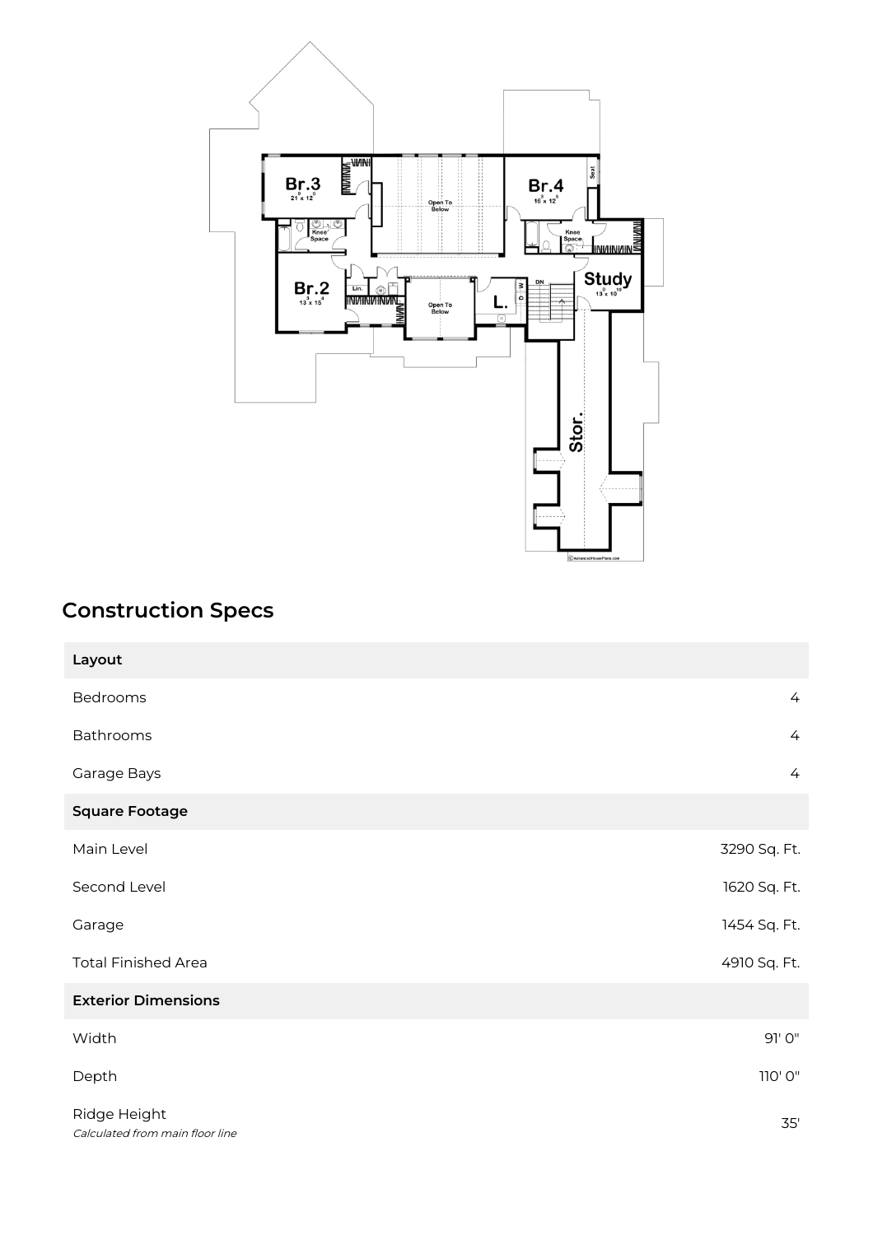

## **Construction Specs**

| Layout                                          |                |
|-------------------------------------------------|----------------|
| Bedrooms                                        | $\overline{4}$ |
| Bathrooms                                       | $\overline{4}$ |
| Garage Bays                                     | $\overline{4}$ |
| <b>Square Footage</b>                           |                |
| Main Level                                      | 3290 Sq. Ft.   |
| Second Level                                    | 1620 Sq. Ft.   |
| Garage                                          | 1454 Sq. Ft.   |
| <b>Total Finished Area</b>                      | 4910 Sq. Ft.   |
| <b>Exterior Dimensions</b>                      |                |
| Width                                           | 91' 0"         |
| Depth                                           | 110' 0"        |
| Ridge Height<br>Calculated from main floor line | 35'            |